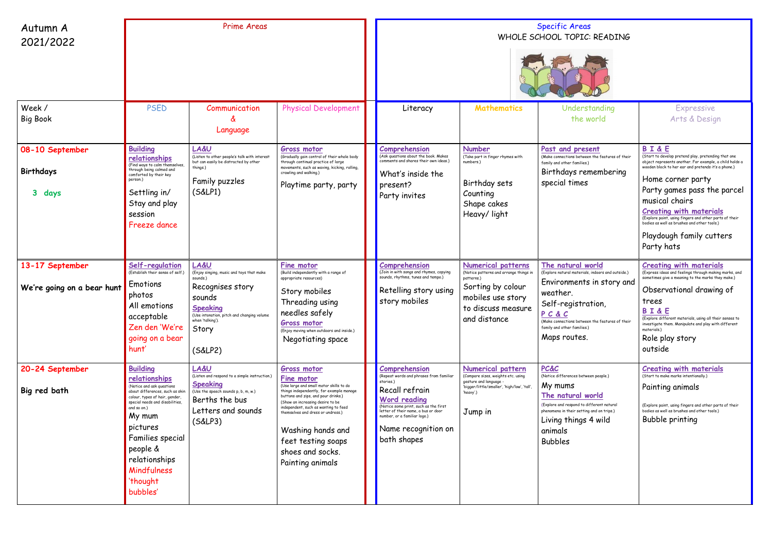| Autumn A<br>2021/2022                         | <b>Prime Areas</b>                                                                                                                                                                                                                                                                                 |                                                                                                                                                                                                                |                                                                                                                                                                                                                                                                                                                                                             | <b>Specific Areas</b><br>WHOLE SCHOOL TOPIC: READING                                                                                                                                                                                                                 |                                                                                                                                                                   |                                                                                                                                                                                                                                                 |                                                                                                                                                                                                                                                                                                                                                                                                                                                     |  |
|-----------------------------------------------|----------------------------------------------------------------------------------------------------------------------------------------------------------------------------------------------------------------------------------------------------------------------------------------------------|----------------------------------------------------------------------------------------------------------------------------------------------------------------------------------------------------------------|-------------------------------------------------------------------------------------------------------------------------------------------------------------------------------------------------------------------------------------------------------------------------------------------------------------------------------------------------------------|----------------------------------------------------------------------------------------------------------------------------------------------------------------------------------------------------------------------------------------------------------------------|-------------------------------------------------------------------------------------------------------------------------------------------------------------------|-------------------------------------------------------------------------------------------------------------------------------------------------------------------------------------------------------------------------------------------------|-----------------------------------------------------------------------------------------------------------------------------------------------------------------------------------------------------------------------------------------------------------------------------------------------------------------------------------------------------------------------------------------------------------------------------------------------------|--|
| Week /<br><b>Big Book</b>                     | <b>PSED</b>                                                                                                                                                                                                                                                                                        | Communication<br>Language                                                                                                                                                                                      | <b>Physical Development</b>                                                                                                                                                                                                                                                                                                                                 | Literacy                                                                                                                                                                                                                                                             | <b>Mathematics</b>                                                                                                                                                | Understanding<br>the world                                                                                                                                                                                                                      | <b>Expressive</b><br>Arts & Design                                                                                                                                                                                                                                                                                                                                                                                                                  |  |
| 08-10 September<br>Birthdays<br>3 days        | <b>Building</b><br>relationships<br>(Find ways to calm themselves,<br>through being calmed and<br>comforted by their key<br>person.)<br>Settling in/<br>Stay and play<br>session<br>Freeze dance                                                                                                   | <b>LA&amp;U</b><br>(Listen to other people's talk with interest<br>but can easily be distracted by other<br>things.)<br>Family puzzles<br>(S&LP1)                                                              | <b>Gross motor</b><br>(Gradually gain control of their whole body<br>through continual practice of large<br>movements, such as waving, kicking, rolling,<br>crawling and walking.)<br>Playtime party, party                                                                                                                                                 | Comprehension<br>(Ask questions about the book. Makes<br>comments and shares their own ideas.)<br>What's inside the<br>present?<br>Party invites                                                                                                                     | <b>Number</b><br>(Take part in finger rhymes with<br>numbers.)<br>Birthday sets<br>Counting<br>Shape cakes<br>Heavy/light                                         | Past and present<br>(Make connections between the features of their<br>family and other families.)<br>Birthdays remembering<br>special times                                                                                                    | <b>BI&amp;E</b><br>(Start to develop pretend play, pretending that one<br>object represents another. For example, a child holds a<br>wooden block to her ear and pretends it's a phone.)<br>Home corner party<br>Party games pass the parcel<br>musical chairs<br><b>Creating with materials</b><br>(Explore paint, using fingers and other parts of their<br>bodies as well as brushes and other tools.)<br>Playdough family cutters<br>Party hats |  |
| 13-17 September<br>We're going on a bear hunt | Self-regulation<br>(Establish their sense of self.)<br>Emotions<br>photos<br>All emotions<br>acceptable<br>Zen den 'We're<br>going on a bear<br>hunt'                                                                                                                                              | <b>LA&amp;U</b><br>(Enjoy singing, music and toys that make<br>sounds.)<br>Recognises story<br>sounds<br><b>Speaking</b><br>(Use intonation, pitch and changing volume<br>when 'talking').<br>Story<br>(S&LP2) | Fine motor<br>(Build independently with a range of<br>appropriate resources)<br>Story mobiles<br>Threading using<br>needles safely<br><b>Gross motor</b><br>(Enjoy moving when outdoors and inside.)<br>Negotiating space                                                                                                                                   | Comprehension<br>(Join in with songs and rhymes, copying<br>sounds, rhythms, tunes and tempo.)<br>Retelling story using<br>story mobiles                                                                                                                             | <b>Numerical patterns</b><br>(Notice patterns and arrange things in<br>patterns.)<br>Sorting by colour<br>mobiles use story<br>to discuss measure<br>and distance | The natural world<br>(Explore natural materials, indoors and outside.)<br>Environments in story and<br>weather.<br>Self-registration,<br>PCAC<br>(Make connections between the features of their<br>family and other families.)<br>Maps routes. | <b>Creating with materials</b><br>(Express ideas and feelings through making marks, and<br>sometimes give a meaning to the marks they make.)<br>Observational drawing of<br>trees<br><b>BI&amp;E</b><br>(Explore different materials, using all their senses to<br>investigate them. Manipulate and play with different<br>materials.)<br>Role play story<br>outside                                                                                |  |
| 20-24 September<br>Big red bath               | <b>Building</b><br>relationships<br>(Notice and ask questions<br>about differences, such as skin<br>colour, types of hair, gender,<br>special needs and disabilities,<br>and so on.)<br>My mum<br>pictures<br>Families special<br>people &<br>relationships<br>Mindfulness<br>'thought<br>bubbles' | LA&U<br>(Listen and respond to a simple instruction.)<br><b>Speaking</b><br>(Use the speech sounds p, b, m, w.)<br>Berths the bus<br>Letters and sounds<br>(S&LP3)                                             | Gross motor<br>Fine motor<br>(Use large and small motor skills to do<br>things independently, for example manage<br>buttons and zips, and pour drinks.)<br>(Show an increasing desire to be<br>independent, such as wanting to feed<br>themselves and dress or undress.)<br>Washing hands and<br>feet testing soaps<br>shoes and socks.<br>Painting animals | Comprehension<br>(Repeat words and phrases from familiar<br>stories.)<br>Recall refrain<br><b>Word reading</b><br>(Notice some print, such as the first<br>letter of their name, a bus or door<br>number, or a familiar logo.)<br>Name recognition on<br>bath shapes | <b>Numerical pattern</b><br>(Compare sizes, weights etc. using<br>gesture and language -<br>'bigger/little/smaller', 'high/low', 'tall'<br>'heavy'.)<br>Jump in   | <b>PC&amp;C</b><br>(Notice differences between people.)<br>My mums<br>The natural world<br>(Explore and respond to different natural<br>phenomena in their setting and on trips.)<br>Living things 4 wild<br>animals<br><b>Bubbles</b>          | <b>Creating with materials</b><br>(Start to make marks intentionally.)<br>Painting animals<br>(Explore paint, using fingers and other parts of their<br>bodies as well as brushes and other tools.)<br>Bubble printing                                                                                                                                                                                                                              |  |